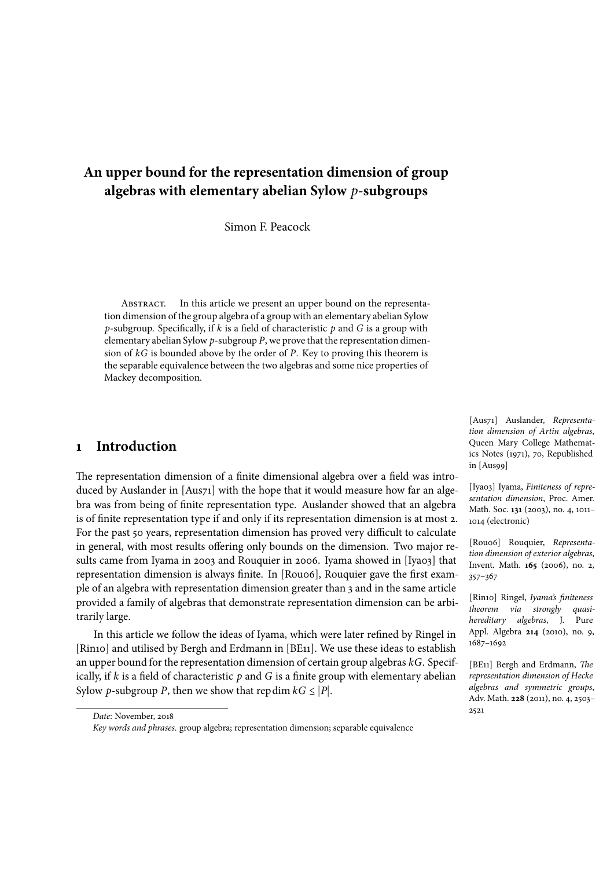# **An upper bound for the representation dimension of group algebras with elementary abelian Sylow** *p***-subgroups**

Simon F. Peacock

Abstract. In this article we present an upper bound on the representation dimension of the group algebra of a group with an elementary abelian Sylow *p*-subgroup. Specifically, if *k* is a field of characteristic *p* and *G* is a group with elementary abelian Sylow *p*-subgroup *P*, we prove that the representation dimension of *kG* is bounded above by the order of *P*. Key to proving this theorem is the separable equivalence between the two algebras and some nice properties of Mackey decomposition.

## **1 Introduction**

The representation dimension of a finite dimensional algebra over a field was introduced by Auslander in [Aus71] with the hope that it would measure how far an algebra was from being of finite representation type. Auslander showed that an algebra is of finite representation type if and only if its representation dimension is at most 2. For the past 50 years, representation dimension has proved very difficult to calculate in general, with most results offering only bounds on the dimension. Two major results came from Iyama in 2003 and Rouquier in 2006. Iyama showed in [Iya03] that representation dimension is always finite. In [Rou06], Rouquier gave the first example of an algebra with representation dimension greater than 3 and in the same article provided a family of algebras that demonstrate representation dimension can be arbitrarily large.

In this article we follow the ideas of Iyama, which were later refined by Ringel in [Rin10] and utilised by Bergh and Erdmann in [BE11]. We use these ideas to establish an upper bound for the representation dimension of certain group algebras *kG*. Specifically, if *k* is a field of characteristic *p* and *G* is a finite group with elementary abelian Sylow *p*-subgroup *P*, then we show that repdim  $kG \leq |P|$ .

[Aus71] Auslander, *Representation dimension of Artin algebras*, Queen Mary College Mathematics Notes (1971), 70, Republished in [Aus99]

[Iya03] Iyama, *Finiteness of representation dimension*, Proc. Amer. Math. Soc. **131** (2003), no. 4, 1011– 1014 (electronic)

[Rou06] Rouquier, *Representation dimension of exterior algebras*, Invent. Math. **165** (2006), no. 2, 357–367

[Rin10] Ringel, *Iyama's finiteness theorem via strongly quasihereditary algebras*, J. Pure Appl. Algebra **214** (2010), no. 9, 1687–1692

[BE11] Bergh and Erdmann, *The representation dimension of Hecke algebras and symmetric groups*, Adv. Math. **228** (2011), no. 4, 2503– 2521

*Date*: November, 2018

*Key words and phrases.* group algebra; representation dimension; separable equivalence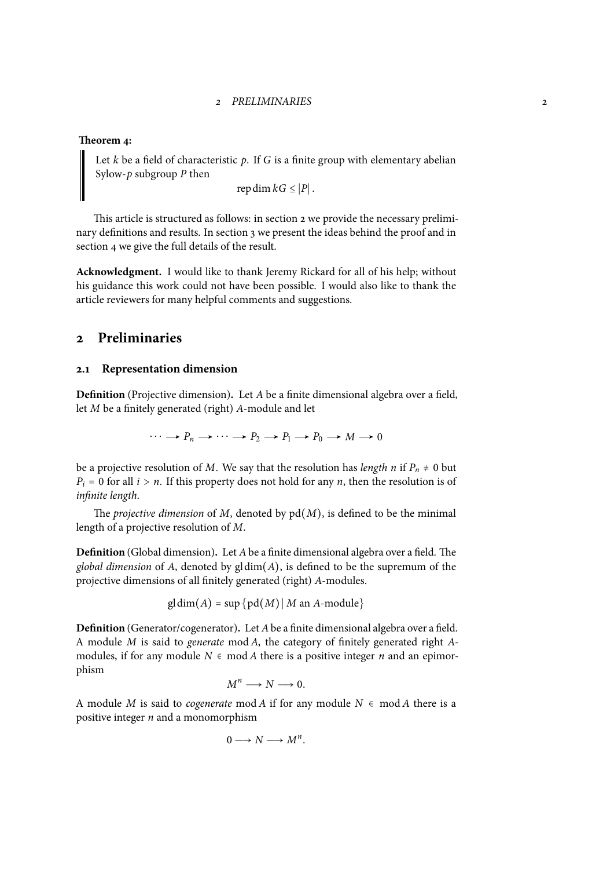#### **Theorem 4:**

Let *k* be a field of characteristic *p*. If *G* is a finite group with elementary abelian Sylow-*p* subgroup *P* then

repdim  $kG \leq |P|$ .

This article is structured as follows: in section 2 we provide the necessary preliminary definitions and results. In section 3 we present the ideas behind the proof and in section 4 we give the full details of the result.

**Acknowledgment.** I would like to thank Jeremy [R](#page-1-0)ickard for all of his help; without his guidance this work could not have [b](#page-3-0)een possible. I would also like to thank the article [rev](#page-5-0)iewers for many helpful comments and suggestions.

### **2 Preliminaries**

### <span id="page-1-0"></span>**2.1 Representation dimension**

**Definition** (Projective dimension)**.** Let *A* be a finite dimensional algebra over a field, let *M* be a finitely generated (right) *A*-module and let

 $\cdots \longrightarrow P_n \longrightarrow \cdots \longrightarrow P_2 \longrightarrow P_1 \longrightarrow P_0 \longrightarrow M \longrightarrow 0$ 

be a projective resolution of *M*. We say that the resolution has *length n* if  $P_n \neq 0$  but  $P_i = 0$  for all  $i > n$ . If this property does not hold for any *n*, then the resolution is of *infinite length*.

The *projective dimension* of  $M$ , denoted by  $pd(M)$ , is defined to be the minimal length of a projective resolution of *M*.

**Definition** (Global dimension)**.** Let *A*be a finite dimensional algebra over a field. The *global dimension* of *A*, denoted by gldim(*A*), is defined to be the supremum of the projective dimensions of all finitely generated (right) *A*-modules.

$$
gl\dim(A) = \sup \{pd(M) | M \text{ an } A\text{-module}\}
$$

**Definition** (Generator/cogenerator)**.** Let *A*be a finite dimensional algebra over a field. A module *M* is said to *generate* mod *A*, the category of finitely generated right *A*modules, if for any module  $N \in \text{mod } A$  there is a positive integer *n* and an epimorphism

$$
M^n \longrightarrow N \longrightarrow 0.
$$

A module *M* is said to *cogenerate* mod *A* if for any module  $N ∈ \text{mod } A$  there is a positive integer *n* and a monomorphism

$$
0 \longrightarrow N \longrightarrow M^n.
$$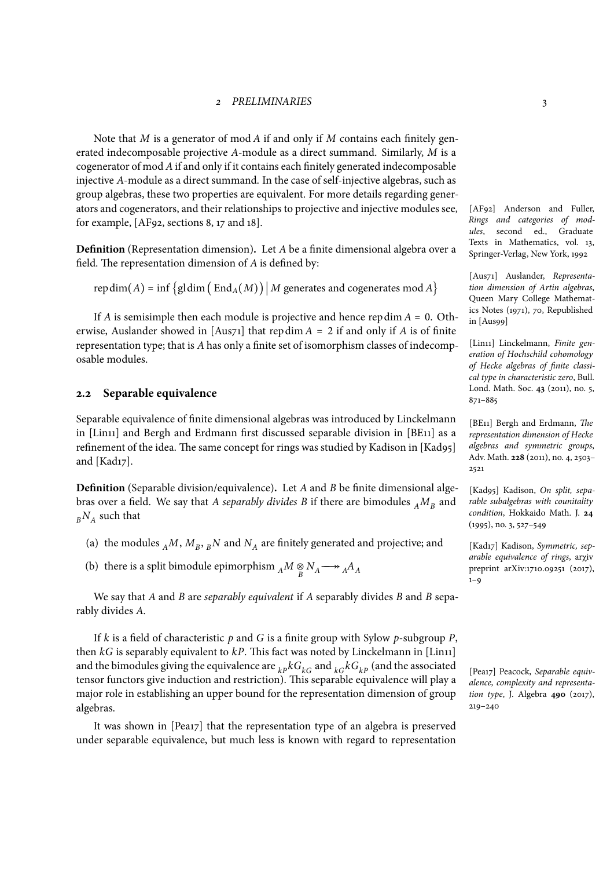Note that *M* is a generator of mod *A* if and only if *M* contains each finitely generated indecomposable projective *A*-module as a direct summand. Similarly, *M* is a cogenerator of mod *A*if and only if it contains each finitely generated indecomposable injective *A*-module as a direct summand. In the case of self-injective algebras, such as group algebras, these two properties are equivalent. For more details regarding generators and cogenerators, and their relationships to projective and injective modules see, for example, [AF92, sections 8, 17 and 18].

**Definition** (Representation dimension)**.** Let *A* be a finite dimensional algebra over a field. The representation dimension of *A* is defined by:

repdim(*A*) = inf {gldim ( $\text{End}_{A}(M)$ ) | *M* generates and cogenerates mod *A* }

If *A* is semisimple then each module is projective and hence repdim  $A = 0$ . Otherwise, Auslander showed in  $[Aus71]$  that repdim  $A = 2$  if and only if  $A$  is of finite representation type; that is *A* has only a finite set of isomorphism classes of indecomposable modules.

### **2.2 Separable equivalence**

Separable equivalence of finite dimensional algebras was introduced by Linckelmann in [Lin11] and Bergh and Erdmann first discussed separable division in [BE11] as a refinement of the idea. The same concept for rings was studied by Kadison in [Kad95] and [Kad17].

**Definition** (Separable division/equivalence)**.** Let *A* and *B* be finite dimensional algebras over a field. We say that *A separably divides B* if there are bimodules  $_A M_B$  and  $_B N_A$  such that

- (a) the modules  $_A M$ ,  $M_B$ ,  $_B N$  and  $N_A$  are finitely generated and projective; and
- (b) there is a split bimodule epimorphism  $_A M \underset{B}{\otimes} N_A \longrightarrow {}_A A_A$

We say that *A* and *B* are *separably equivalent* if *A* separably divides *B* and *B* separably divides *A*.

If *k* is a field of characteristic *p* and *G* is a finite group with Sylow *p*-subgroup *P*, then  $kG$  is separably equivalent to  $kP$ . This fact was noted by Linckelmann in [Lin11] and the bimodules giving the equivalence are  $_{kP}kG_{kG}$  and  $_{kG}kG_{kP}$  (and the associated tensor functors give induction and restriction). This separable equivalence will play a major role in establishing an upper bound for the representation dimension of group algebras.

It was shown in [Pea17] that the representation type of an algebra is preserved under separable equivalence, but much less is known with regard to representation

[AF92] Anderson and Fuller, *Rings and categories of modules*, second ed., Graduate Texts in Mathematics, vol. 13, Springer-Verlag, New York, 1992

[Aus71] Auslander, *Representation dimension of Artin algebras*, Queen Mary College Mathematics Notes (1971), 70, Republished in [Aus99]

[Lin11] Linckelmann, *Finite generation of Hochschild cohomology of Hecke algebras of finite classical type in characteristic zero*, Bull. Lond. Math. Soc. **43** (2011), no. 5, 871–885

[BE11] Bergh and Erdmann, *The representation dimension of Hecke algebras and symmetric groups*, Adv. Math. **228** (2011), no. 4, 2503– 2521

[Kad95] Kadison, *On split, separable subalgebras with counitality condition*, Hokkaido Math. J. **24** (1995), no. 3, 527–549

[Kad17] Kadison, *Symmetric, separable equivalence of rings*, ar**χ**iv preprint arXiv:1710.09251 (2017),  $1 - Q$ 

[Pea17] Peacock, *Separable equivalence, complexity and representation type*, J. Algebra **490** (2017), 219–240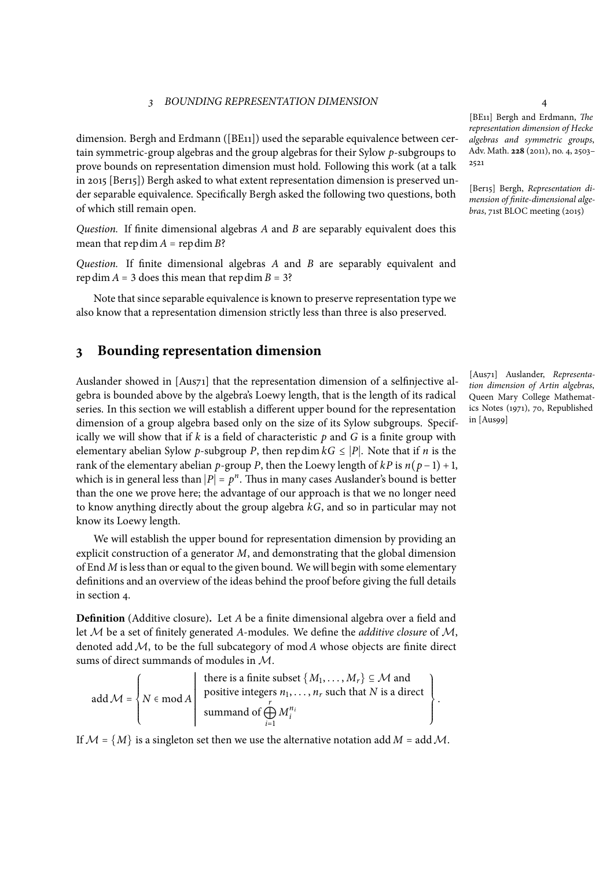dimension. Bergh and Erdmann ([BE11]) used the separable equivalence between certain symmetric-group algebras and the group algebras for their Sylow *p*-subgroups to prove bounds on representation dimension must hold. Following this work (at a talk in 2015 [Ber15]) Bergh asked to what extent representation dimension is preserved under separable equivalence. Specifically Bergh asked the following two questions, both of which still remain open.

*Question.* If finite dimensional algebras *A* and *B* are separably equivalent does this mean that repdim  $A = \text{repdim } B$ ?

*Question.* If finite dimensional algebras *A* and *B* are separably equivalent and repdim  $A = 3$  does this mean that repdim  $B = 3$ ?

Note that since separable equivalence is known to preserve representation type we also know that a representation dimension strictly less than three is also preserved.

### **3 Bounding representation dimension**

<span id="page-3-0"></span>Auslander showed in [Aus71] that the representation dimension of a selfinjective algebra is bounded above by the algebra's Loewy length, that is the length of its radical series. In this section we will establish a different upper bound for the representation dimension of a group algebra based only on the size of its Sylow subgroups. Specifically we will show that if *k* is a field of characteristic *p* and *G* is a finite group with elementary abelian Sylow *p*-subgroup *P*, then repdim  $kG \leq |P|$ . Note that if *n* is the rank of the elementary abelian *p*-group *P*, then the Loewy length of  $kP$  is  $n(p-1) + 1$ , which is in general less than  $|P| = p^n$ . Thus in many cases Auslander's bound is better<br>than the among many have the adventure of any summary highlet are no language of than the one we prove here; the advantage of our approach is that we no longer need to know anything directly about the group algebra *kG*, and so in particular may not know its Loewy length.

We will establish the upper bound for representation dimension by providing an explicit construction of a generator *M*, and demonstrating that the global dimension of End *M* isless than or equal to the given bound. We will begin with some elementary definitions and an overview of the ideas behind the proof before giving the full details in section 4.

**Definition** (Additive closure)**.** Let *A* be a finite dimensional algebra over a field and let *M* be a set of finitely generated *A*-modules. We define the *additive closure* of *M*, denoted a[dd](#page-5-0)*M*, to be the full subcategory of mod *A* whose objects are finite direct sums of direct summands of modules in *M*.

add 
$$
M = \left\{ N \in \text{mod } A \mid \text{ positive integers } n_1, ..., n_r \text{ such that } N \text{ is a direct summand of } \bigoplus_{i=1}^r M_i^{n_i} \right\}.
$$

If  $M = \{M\}$  is a singleton set then we use the alternative notation add  $M = \text{add } \mathcal{M}$ .

[BE11] Bergh and Erdmann, *The representation dimension of Hecke algebras and symmetric groups*, Adv. Math. **228** (2011), no. 4, 2503– 2521

[Ber15] Bergh, *Representation dimension of finite-dimensional algebras*, 71st BLOC meeting (2015)

[Aus71] Auslander, *Representation dimension of Artin algebras*, Queen Mary College Mathematics Notes (1971), 70, Republished in [Aus99]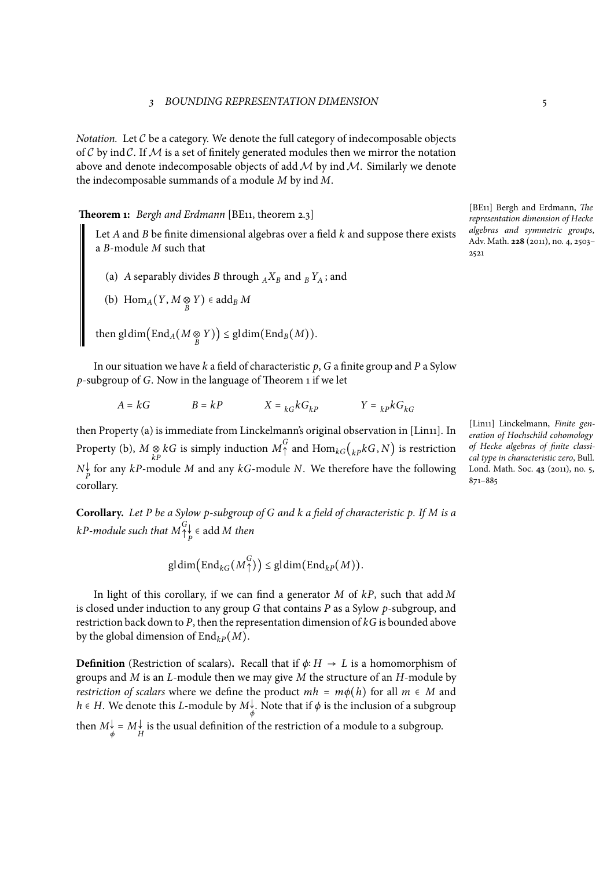*Notation.* Let C be a category. We denote the full category of indecomposable objects of  $C$  by ind  $C$ . If  $M$  is a set of finitely generated modules then we mirror the notation above and denote indecomposable objects of add*M* by ind*M*. Similarly we denote the indecomposable summands of a module *M* by ind *M*.

**Theorem 1:** *Bergh and Erdmann* [BE11, theorem 2.3]

<span id="page-4-0"></span>Let *A* and *B* be finite dimensional algebras over a field *k* and suppose there exists a *B*-module *M* such that

(a) *A* separably divides *B* through  $_A X_B$  and  $_B Y_A$ ; and

(b) 
$$
\text{Hom}_A(Y, M \underset{B}{\otimes} Y) \in \text{add}_B M
$$

 $\text{then } \text{gldim}(\text{End}_A(M \underset{B}{\otimes} Y)) \leq \text{gldim}(\text{End}_B(M)).$ 

In our situation we have *k* a field of characteristic *p*, *G* a finite group and *P* a Sylow *p*-subgroup of *G*. Now in the language of Theorem 1 if we let

$$
A = kG \qquad \qquad B = kP \qquad \qquad X = {}_{kG}kG_{kP} \qquad \qquad Y = {}_{kP}kG_{kG}
$$

then Property (a) is immediate from Linckelmann's [o](#page-4-0)riginal observation in [Lin11]. In Property (b),  $M \underset{kP}{\otimes} kG$  is simply induction  $M^G$ <sub>1</sub> and  $\text{Hom}_{kG}({}_{kP}kG, N)$  is restriction  $N_P^{\downarrow}$  for any *kP*-module *M* and any *kG*-module *N*. We therefore have the following corollary.

**Corollary.** *Let P be a Sylow p-subgroup of G and k a field of characteristic p. If M is a*  $k$ *P-module such that*  $M_\uparrow^G$  $\bigwedge^{\infty}_{P}$   $\in$  add *M then* 

$$
\mathrm{gl}\dim\bigl(\mathrm{End}_{kG}\bigl(M_{\uparrow}^{G}\bigr)\bigr)\leq\mathrm{gl}\dim\bigl(\mathrm{End}_{kP}\bigl(M\bigr)\bigr).
$$

In light of this corollary, if we can find a generator *M* of *kP*, such that add *M* is closed under induction to any group *G* that contains *P* as a Sylow *p*-subgroup, and restriction back down to *P*, then the representation dimension of *kG* is bounded above by the global dimension of  $\text{End}_{k}P(M)$ .

**Definition** (Restriction of scalars). Recall that if  $\phi: H \to L$  is a homomorphism of groups and *M* is an *L*-module then we may give *M* the structure of an *H*-module by *restriction of scalars* where we define the product  $mh = m\phi(h)$  for all  $m \in M$  and *<sup>h</sup>* <sup>∈</sup> *<sup>H</sup>*. We denote this *<sup>L</sup>*-module by *<sup>M</sup>*<sup>↓</sup> *ϕ* . Note that if *ϕ* is the inclusion of a subgroup then  $M_{\phi}^{\downarrow} = M_{H}^{\downarrow}$  is the usual definition of the restriction of a module to a subgroup.

[BE11] Bergh and Erdmann, *The representation dimension of Hecke algebras and symmetric groups*, Adv. Math. **228** (2011), no. 4, 2503– 2521

[Lin11] Linckelmann, *Finite generation of Hochschild cohomology of Hecke algebras of finite classical type in characteristic zero*, Bull. Lond. Math. Soc. **43** (2011), no. 5, 871–885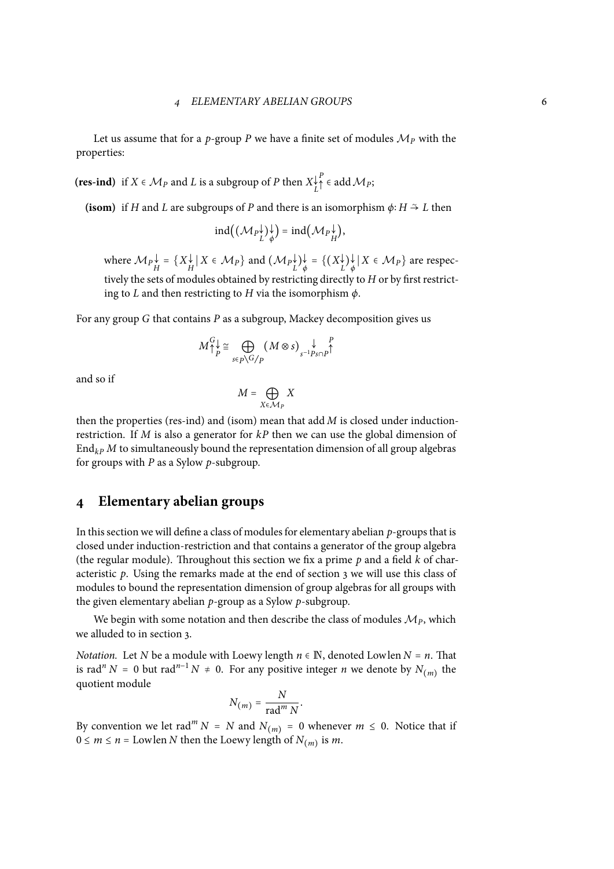Let us assume that for a *p*-group *P* we have a finite set of modules  $\mathcal{M}_P$  with the properties:

(**res-ind**) if  $X \in \mathcal{M}_P$  and  $L$  is a subgroup of  $P$  then  $X_L^{\downarrow}$  $P^P$   $\in$  add  $M_P$ ;

**(isom)** if *H* and *L* are subgroups of *P* and there is an isomorphism  $\phi: H \to L$  then

$$
\mathrm{ind}((\mathcal{M}_P \mathcal{V}^{\downarrow})_{\phi}^{\downarrow}) = \mathrm{ind}(\mathcal{M}_P \mathcal{V}^{\downarrow})
$$

where  $\mathcal{M}_P \downarrow_{H}^{\downarrow} = \{ X_H^{\downarrow} | X \in \mathcal{M}_P \}$  and  $(\mathcal{M}_P \downarrow_{L}^{\downarrow}) \downarrow_{\phi}^{\downarrow} = \{ (X_L^{\downarrow}) \downarrow \mid X \in \mathcal{M}_P \}$  are respectively the sets of modules obtained by restricting directly to *H* or by first restricting to *L* and then restricting to *H* via the isomorphism *ϕ*.

For any group *G* that contains *P* as a subgroup, Mackey decomposition gives us

$$
M_{\uparrow p}^{G} \cong \bigoplus_{s \in p \setminus G/p} (M \otimes s)_{s^{-1}Ps \cap p}^{\qquad p} \uparrow
$$

and so if

$$
M = \bigoplus_{X \in \mathcal{M}_P} X
$$

then the properties (res-ind) and (isom) mean that add *M* is closed under inductionrestriction. If *M* is also a generator for *kP* then we can use the global dimension of  $\text{End}_{k}$ *P M* to simultaneously bound the representation dimension of all group algebras for groups with *P* as a Sylow *p*-subgroup.

### **4 Elementary abelian groups**

<span id="page-5-0"></span>In this section we will define a class of modules for elementary abelian  $p$ -groups that is closed under induction-restriction and that contains a generator of the group algebra (the regular module). Throughout this section we fix a prime *p* and a field *k* of characteristic *p*. Using the remarks made at the end of section 3 we will use this class of modules to bound the representation dimension of group algebras for all groups with the given elementary abelian *p*-group as a Sylow *p*-subgroup.

We begin with some notation and then describe the cla[ss](#page-3-0) of modules  $\mathcal{M}_P$ , which we alluded to in section 3.

*Notation.* Let *N* be a module with Loewy length  $n \in \mathbb{N}$ , denoted Lowlen  $N = n$ . That is rad<sup>*n*</sup> *N* = 0 but rad<sup>*n*-1</sup> *N* ≠ 0. For any positive integer *n* we denote by  $N_{(m)}$  the quotient module

$$
N_{(m)} = \frac{N}{\operatorname{rad}^m N}.
$$

By convention we let rad<sup>*m*</sup> *N* = *N* and  $N_{(m)}$  = 0 whenever  $m \le 0$ . Notice that if  $0 \le m \le n =$  Lowlen *N* then the Loewy length of  $N_{(m)}$  is *m*.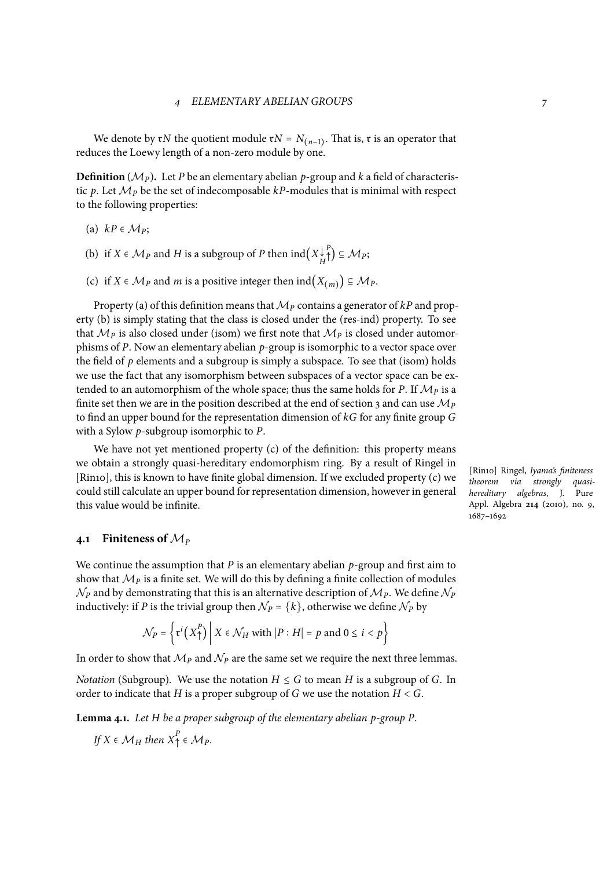We denote by  $\mathbf{r}N$  the quotient module  $\mathbf{r}N = N_{(n-1)}$ . That is,  $\mathbf{r}$  is an operator that reduces the Loewy length of a non-zero module by one.

**Definition** ( $\mathcal{M}_P$ ). Let *P* be an elementary abelian *p*-group and *k* a field of characteristic p. Let  $\mathcal{M}_P$  be the set of indecomposable  $kP$ -modules that is minimal with respect to the following properties:

- (a)  $kP \in \mathcal{M}_P$ ;
- (b) if  $X \in \mathcal{M}_P$  and  $H$  is a subgroup of  $P$  then  $\text{ind}\left(X\frac{\downarrow}{H}\right)$ *P* ↑) <sup>⊆</sup> *<sup>M</sup>P*;
- <span id="page-6-0"></span>(c) if  $X \in \mathcal{M}_P$  and *m* is a positive integer then  $\text{ind}(X_{(m)}) \subseteq \mathcal{M}_P$ .

<span id="page-6-2"></span><span id="page-6-1"></span>Property (a) of this definition means that*M<sup>P</sup>* contains a generator of *kP* and property (b) is simply stating that the class is closed under the (res-ind) property. To see that  $\mathcal{M}_P$  is also closed under (isom) we first note that  $\mathcal{M}_P$  is closed under automorphisms of *P*. Now an elementary abelian *p*-group is isomorphic to a vector space over the field of  $p$  [ele](#page-6-0)ments and a subgroup is simply a subspace. To see that (isom) holds we [use](#page-6-1) the fact that any isomorphism between subspaces of a vector space can be extended to an automorphism of the whole space; thus the same holds for *P*. If  $\mathcal{M}_P$  is a finite set then we are in the position described at the end of section 3 and can use *M<sup>P</sup>* to find an upper bound for the representation dimension of *kG* for any finite group *G* with a Sylow *p*-subgroup isomorphic to *P*.

We have not yet mentioned property (c) of the definition: th[is](#page-3-0) property means we obtain a strongly quasi-hereditary endomorphism ring. By a result of Ringel in [Rin10], this is known to have finite global dimension. If we excluded property (c) we could still calculate an upper bound for re[pres](#page-6-2)entation dimension, however in general this value would be infinite.

### **4.1 Finiteness of** *M<sup>P</sup>*

We continue the assumption that *P* is an elementary abelian *p*-group and first aim to show that  $M_P$  is a finite set. We will do this by defining a finite collection of modules  $\mathcal{N}_P$  and by demonstrating that this is an alternative description of  $\mathcal{M}_P.$  We define  $\mathcal{N}_P$ inductively: if *P* is the trivial group then  $N_P = \{k\}$ , otherwise we define  $N_P$  by

$$
\mathcal{N}_P = \left\{ \mathfrak{r}^i \big( X_\uparrow^P \big) \middle| X \in \mathcal{N}_H \text{ with } |P : H| = p \text{ and } 0 \leq i < p \right\}
$$

In order to show that  $M_P$  and  $N_P$  are the same set we require the next three lemmas.

*Notation* (Subgroup). We use the notation  $H \leq G$  to mean *H* is a subgroup of *G*. In order to indicate that *H* is a proper subgroup of *G* we use the notation  $H < G$ .

**Lemma 4.1.** *Let H be a proper subgroup of the elementary abelian p-group P.*

<span id="page-6-3"></span>If 
$$
X \in \mathcal{M}_H
$$
 then  $X^P_{\uparrow} \in \mathcal{M}_P$ .

[Rin10] Ringel, *Iyama's finiteness theorem via strongly quasihereditary algebras*, J. Pure Appl. Algebra **214** (2010), no. 9, 1687–1692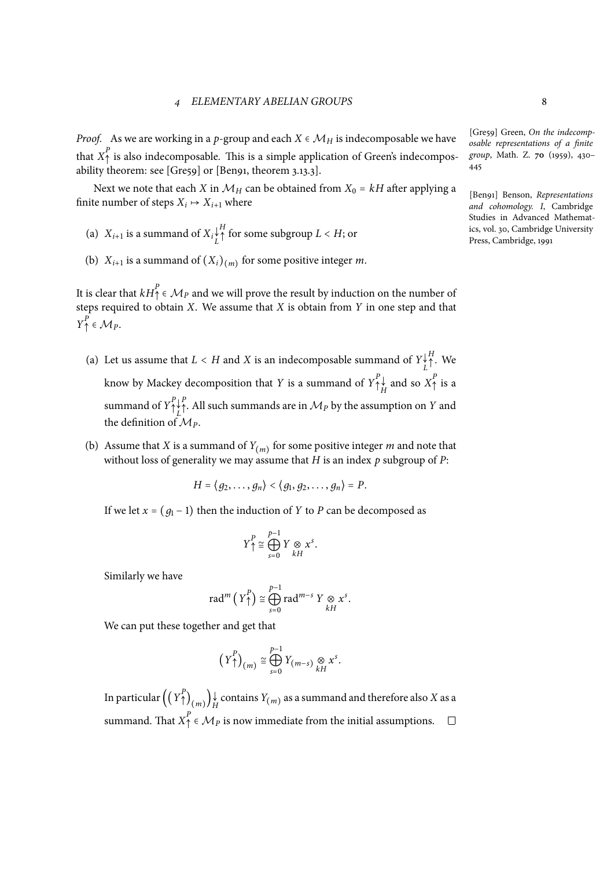*Proof.* As we are working in a *p*-group and each  $X \in \mathcal{M}_H$  is indecomposable we have that  $X_{\uparrow}^{P}$  is also indecomposable. This is a simple application of Green's indecompos-<br>ability theorem: see [Gre59] or [Ben91, theorem 3.13.3].

Next we note that each *X* in  $M_H$  can be obtained from  $X_0 = kH$  after applying a finite number of steps  $X_i \mapsto X_{i+1}$  where

- (a)  $X_{i+1}$  is a summand of  $X_i \underset{L}{\downarrow}$  $\bigwedge^H$  for some subgroup  $L < H$ ; or
- (b)  $X_{i+1}$  is a summand of  $(X_i)_{(m)}$  for some positive integer *m*.

It is clear that  $kH_{\uparrow}^{P} \in \mathcal{M}_{P}$  and we will prove the result by induction on the number of steps required to obtain *X*. We assume that *X* is obtain from *Y* in one step and that  $Y^P$   $\in$  *MP*.

- (a) Let us assume that  $L < H$  and  $X$  is an indecomposable summand of  $Y_{L}^{\downarrow}$ *H* <sup>↑</sup>. We know by Mackey decomposition that *Y* is a summand of  $Y^P_\uparrow$  $\uparrow_H^P$  and so  $X^P$  is a summand of  $Y^P_\uparrow$ ↑ ↓ *L P* <sup>↑</sup>. All such summands are in *<sup>M</sup><sup>P</sup>* by the assumption on *<sup>Y</sup>* and the definition of  $M_p$ .
- (b) Assume that *X* is a summand of  $Y_{(m)}$  for some positive integer *m* and note that without loss of generality we may assume that *H* is an index *p* subgroup of *P*:

$$
H=\langle g_2,\ldots,g_n\rangle\langle g_1,g_2,\ldots,g_n\rangle=P.
$$

If we let  $x = (g_1 - 1)$  then the induction of *Y* to *P* can be decomposed as

$$
Y^P\uparrow \cong \bigoplus_{s=0}^{p-1} Y \underset{kH}{\otimes} x^s.
$$

Similarly we have

$$
\mathrm{rad}^m\left(\,Y^P\right)\cong \bigoplus_{s=0}^{p-1}\mathrm{rad}^{m-s}\;Y\underset{kH}{\otimes}x^s.
$$

We can put these together and get that

$$
\left(Y^P_{\uparrow}\right)_{(m)} \cong \bigoplus_{s=0}^{p-1} Y_{(m-s)} \underset{kH}{\otimes} x^s.
$$

<span id="page-7-0"></span>In particular  $\left(\left(Y_{\uparrow}^{p}\right)$  $\hat{A}(\mathcal{O}_{m})$   $\downarrow$  contains  $Y_{(m)}$  as a summand and therefore also *X* as a summand. That  $X_1^P \in \mathcal{M}_P$  is now immediate from the initial assumptions.

[Gre59] Green, *On the indecomposable representations of a finite group*, Math. Z. **70** (1959), 430– 445

[Ben91] Benson, *Representations and cohomology. I*, Cambridge Studies in Advanced Mathematics, vol. 30, Cambridge University Press, Cambridge, 1991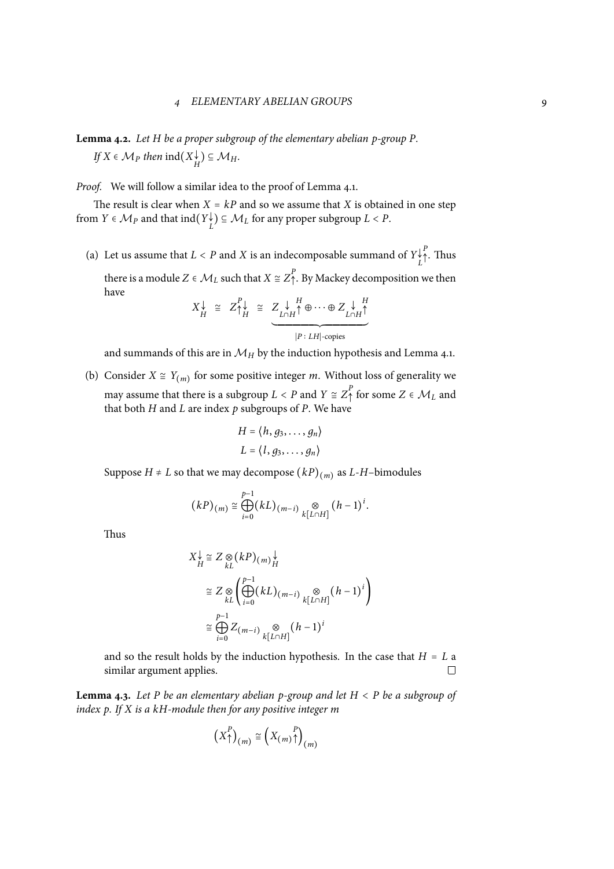**Lemma 4.2.** *Let H be a proper subgroup of the elementary abelian p-group P.*  $\iint K \in \mathcal{M}_P$  *then*  $\text{ind}(X_H^{\downarrow}) \subseteq \mathcal{M}_H$ .

*Proof.* We will follow a similar idea to the proof of Lemma 4.1.

The result is clear when  $X = kP$  and so we assume that *X* is obtained in one step from  $Y \in \mathcal{M}_P$  and that  $\text{ind}(Y_L^{\downarrow}) \subseteq \mathcal{M}_L$  for any proper subgroup  $L < P$ .

(a) Let us assume that  $L < P$  and  $X$  is an indecomposable summand of  $Y_{L}^{\downarrow}$ *P* <sup>↑</sup>. Thus there is a module  $Z \in \mathcal{M}_L$  such that  $X \cong Z_{\uparrow}^P$ . By Mackey decomposition we then have

$$
X_H^{\downarrow} \cong Z_{\uparrow H}^{\rho} \cong Z_{L \cap H}^{\downarrow H} \oplus \cdots \oplus Z_{L \cap H}^{\downarrow H}
$$
  

$$
P: LH \text{-copies}
$$

and summands of this are in  $\mathcal{M}_H$  by the induction hypothesis and Lemma 4.1.

(b) Consider  $X \cong Y_{(m)}$  for some positive integer *m*. Without loss of generality we may assume that there is a subgroup  $L < P$  and  $Y \cong Z_{\uparrow}^{P}$  for some  $Z \in \mathcal{M}_{L}$  and that both  $H$  and  $L$  are index  $p$  subgroups of  $P$ . We have

$$
H = \langle h, g_3, \dots, g_n \rangle
$$
  

$$
L = \langle l, g_3, \dots, g_n \rangle
$$

Suppose *H* ≠ *L* so that we may decompose  $(kP)_{(m)}$  as *L*-*H*–bimodules

$$
(kP)_{(m)} \cong \bigoplus_{i=0}^{p-1} (kL)_{(m-i)} \bigotimes_{k[L\cap H]} (h-1)^i.
$$

Thus

$$
X_H^{\downarrow} \cong Z \underset{kL}{\otimes} (kP)_{(m)}_H^{\downarrow}
$$
  
\n
$$
\cong Z \underset{kL}{\otimes} \left( \bigoplus_{i=0}^{p-1} (kL)_{(m-i)} \underset{k[L \cap H]}{\otimes} (h-1)^i \right)
$$
  
\n
$$
\cong \bigoplus_{i=0}^{p-1} Z_{(m-i)} \underset{k[L \cap H]}{\otimes} (h-1)^i
$$

and so the result holds by the induction hypothesis. In the case that  $H = L$  a similar argument applies. similar argument applies.

**Lemma 4.3.** *Let <sup>P</sup> be an elementary abelian p-group and let <sup>H</sup>* <sup>&</sup>lt; *<sup>P</sup> be a subgroup of index p. If X is a kH-module then for any positive integer m*

$$
\left(X_{\uparrow}^{P}\right)_{(m)} \cong \left(X_{(m)}\underset{m}{\uparrow}\right)_{(m)}
$$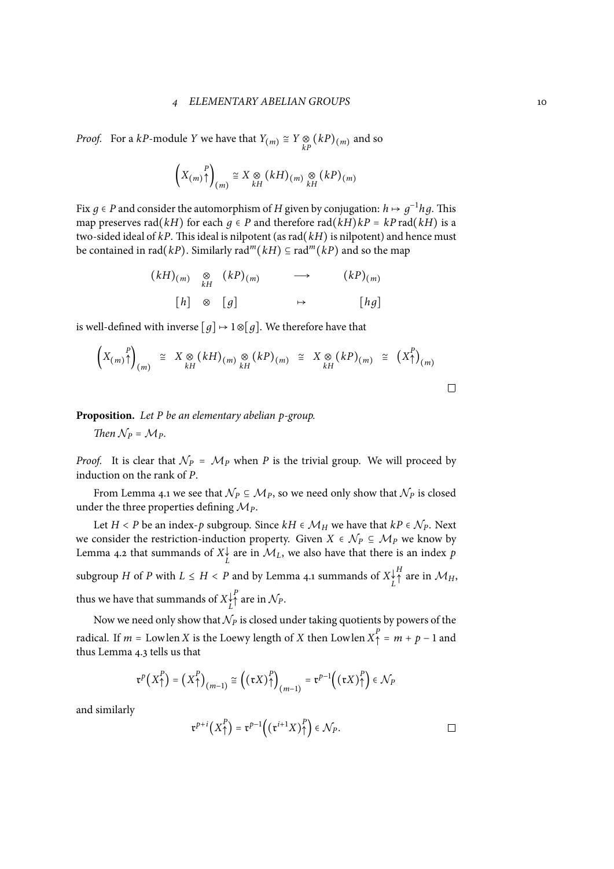*Proof.* For a *kP*-module *Y* we have that  $Y_{(m)} \cong Y \underset{kP}{\otimes} (kP)_{(m)}$  and so

$$
\left(X_{(m)}\uparrow\right)_{(m)} \cong X \underset{kH}{\otimes} (kH)_{(m)} \underset{kH}{\otimes} (kP)_{(m)}
$$

Fix *g* ∈ *P* and consider the automorphism of *H* given by conjugation: *h*  $\mapsto g^{-1}hg$ . This map preserves rad( $kH$ ) for each  $q \in P$  and therefore rad( $kH$ ) $kP = kP$  rad( $kH$ ) is a two-sided ideal of  $kP$ . This ideal is nilpotent (as rad $(kH)$  is nilpotent) and hence must be contained in rad(*kP*). Similarly rad<sup>*m*</sup>(*kH*) ⊆ rad<sup>*m*</sup>(*kP*) and so the map

$$
(kH)_{(m)} \underset{kH}{\otimes} (kP)_{(m)} \longrightarrow (kP)_{(m)}
$$
  
\n
$$
[h] \otimes [g] \longrightarrow [hg]
$$

is well-defined with inverse  $[g] \mapsto 1 \otimes [g]$ . We therefore have that

$$
\left(X_{(m)}\uparrow\right)_{(m)} \cong X \underset{kH}{\otimes} (kH)_{(m)} \underset{kH}{\otimes} (kP)_{(m)} \cong X \underset{kH}{\otimes} (kP)_{(m)} \cong \left(X\uparrow\right)_{(m)}
$$

**Proposition.** *Let P be an elementary abelian p-group.*

*Then*  $N_P = M_P$ .

*Proof.* It is clear that  $N_P = M_P$  when *P* is the trivial group. We will proceed by induction on the rank of *P*.

From Lemma 4.1 we see that  $\mathcal{N}_P \subseteq \mathcal{M}_P$ , so we need only show that  $\mathcal{N}_P$  is closed under the three properties defining  $M_p$ .

Let *H* < *P* be an index-*p* subgroup. Since *kH* ∈  $M_H$  we have that *kP* ∈  $N_P$ . Next we consider the r[estr](#page-6-3)iction-induction property. Given  $X \in \mathcal{N}_P \subseteq \mathcal{M}_P$  we know by Lemma 4.2 that summands of  $X_L^{\downarrow}$  are in  $\mathcal{M}_L$ , we also have that there is an index  $p$ subgroup *H* of *P* with  $L \leq H < P$  and by Lemma 4.1 summands of  $X_L^{\downarrow}$  $^H$ <sup>A</sup> are in  $\mathcal{M}_H$ , thus we [hav](#page-7-0)e that summands of  $X_L^\downarrow$  $P$ <sup>2</sup>
<sup>*P*</sup>
are in  $N_P$ .

Now we need only show that  $N_P$  is closed under taking quotients by powers of the radical. If *m* = Lowlen *X* is the Loewy length of *X* then Lowlen  $X^P$  = *m* + *p* − 1 and these Lorence is talked. thus Lemma 4.3 tells us that

$$
\mathfrak{r}^p\big(X_\uparrow^p\big)=\big(X_\uparrow^p\big)_{(m-1)}\cong\big(\big(\mathfrak{r}X\big)_\uparrow^p\big)_{(m-1)}=\mathfrak{r}^{p-1}\big(\big(\mathfrak{r}X\big)_\uparrow^p\big)\in\mathcal{N}_P
$$

and similarly

$$
\mathfrak{r}^{p+i}\left(X_{\uparrow}^{P}\right)=\mathfrak{r}^{p-1}\left(\left(\mathfrak{r}^{i+1}X\right)_{\uparrow}^{P}\right)\in\mathcal{N}_{P}.
$$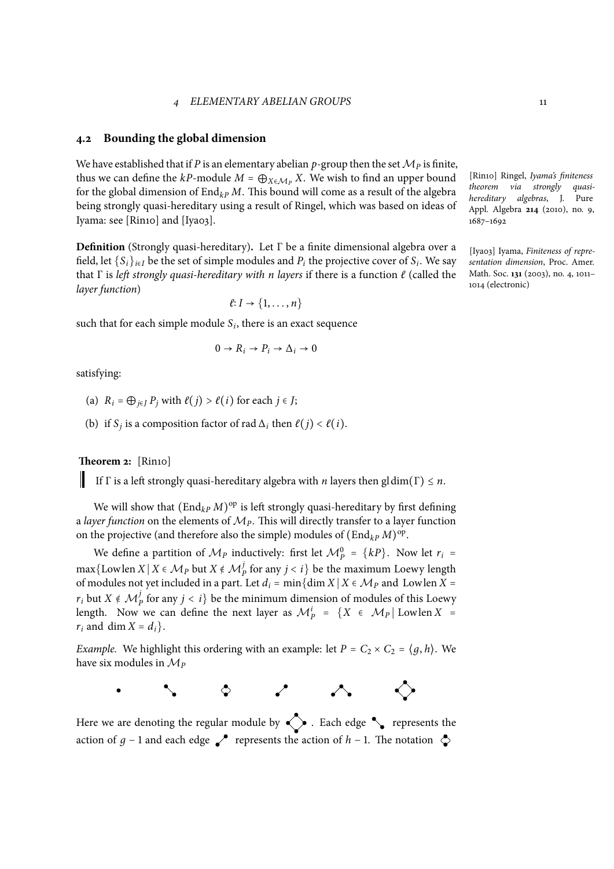#### **4.2 Bounding the global dimension**

We have established that if *P* is an elementary abelian *p*-group then the set  $\mathcal{M}_P$  is finite, thus we can define the  $kP$ -module  $M = \bigoplus_{X \in \mathcal{M}_P} X$ . We wish to find an upper bound for the global dimension of  $\text{End}_{k}P M$ . This bound will come as a result of the algebra being strongly quasi-hereditary using a result of Ringel, which was based on ideas of Iyama: see [Rin10] and [Iya03].

**Definition** (Strongly quasi-hereditary)**.** Let Γ be a finite dimensional algebra over a field, let  $\{S_i\}_{i \in I}$  be the set of simple modules and  $P_i$  the projective cover of  $S_i$ . We say that Γ is *left strongly quasi-hereditary with n layers* if there is a function *ℓ* (called the *layer function*)

$$
\ell: I \to \{1, \ldots, n\}
$$

such that for each simple module  $S_i$ , there is an exact sequence

$$
0 \to R_i \to P_i \to \Delta_i \to 0
$$

satisfying:

- <span id="page-10-0"></span>(a)  $R_i = \bigoplus_{i \in I} P_i$  with  $\ell(j) > \ell(i)$  for each  $j \in J$ ;
- (b) if *S<sub>j</sub>* is a composition factor of rad  $\Delta_i$  then  $\ell(j) < \ell(i)$ .

**Theorem 2:** [Rin10]

If  $\Gamma$  is a left strongly quasi-hereditary algebra with *n* layers then gldim( $\Gamma$ )  $\leq n$ .

We will show that  $(\text{End}_{kP} M)^{\text{op}}$  is left strongly quasi-hereditary by first defining a *layer function* on the elements of *MP*. This will directly transfer to a layer function on the projective (and therefore also the simple) modules of  $(\text{End}_{kP} M)^{\text{op}}$ .

We define a partition of  $M_P$  inductively: first let  $M_P^0 = \{kP\}$ . Now let  $r_i =$ max{Lowlen *X* | *X* ∈ *Mp* but *X* ∉ *M*<sup>*p*</sup> for any *j* < *i*} be the maximum Loewy length of modules not yet included in a part. Let  $d_i = \min\{\dim X \mid X \in \mathcal{M}_P\}$  and Lowlen  $X =$ *r<sub>i</sub>* but  $X \notin \mathcal{M}_{p}^{j}$  for any  $j < i$ } be the minimum dimension of modules of this Loewy length. Now we can define the next layer as  $\mathcal{M}_{P}^{i} = \{X \in \mathcal{M}_{P} | \text{ Lowlen } X =$  $r_i$  and dim  $X = d_i$ .

*Example.* We highlight this ordering with an example: let  $P = C_2 \times C_2 = \langle q, h \rangle$ . We have six modules in *M<sup>P</sup>*

 $\circ$   $\circ$   $\sim$ 

◇

Here we are denoting the regular module by  $\leftrightarrow$  Each edge  $\bullet$  represents the action of *q* − 1 and each edge  $\swarrow$  represents the action of *h* − 1. The notation  $\diamond$ 

[Rin10] Ringel, *Iyama's finiteness theorem via strongly quasihereditary algebras*, J. Pure Appl. Algebra **214** (2010), no. 9, 1687–1692

[Iya03] Iyama, *Finiteness of representation dimension*, Proc. Amer. Math. Soc. **131** (2003), no. 4, 1011– 1014 (electronic)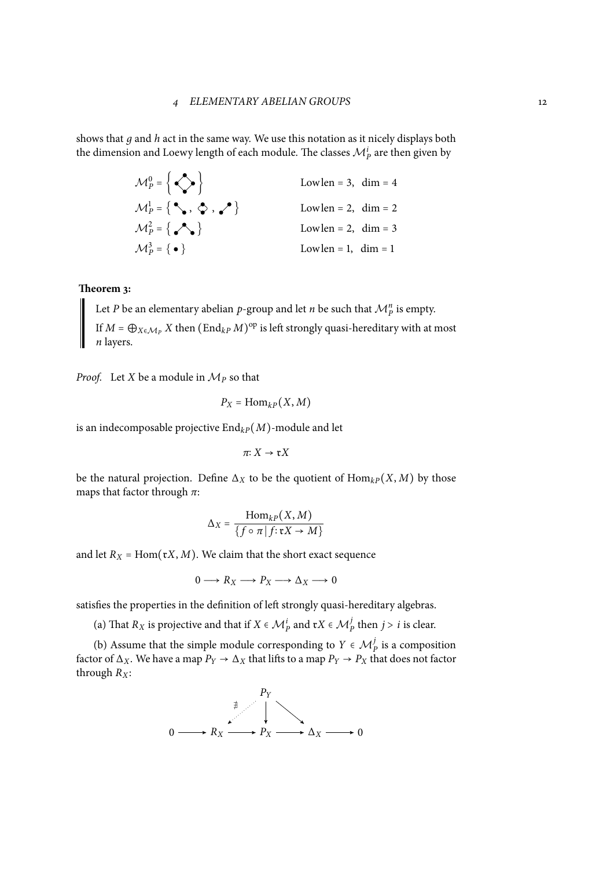shows that *д* and *h* act in the same way. We use this notation as it nicely displays both the dimension and Loewy length of each module. The classes  $\mathcal{M}_P^i$  are then given by

| $\mathcal{M}_P^0$ = $\left\{\bigodot\right\}$                                   | Lowlen = 3, dim = $4$  |  |
|---------------------------------------------------------------------------------|------------------------|--|
| $\mathcal{M}_{P}^{1} = \{ \, \, \diamondsuit , \, \diamondsuit , \, \bullet \}$ | Lowlen = 2, $\dim = 2$ |  |
| $\mathcal{M}_P^2 = \left\{ \bigwedge^{\bullet} \right\}$                        | Lowlen = 2, $\dim = 3$ |  |
| $\mathcal{M}_{P}^{3} = \{ \bullet \}$                                           | Lowlen = 1, $\dim = 1$ |  |

#### **Theorem 3:**

<span id="page-11-0"></span>Let *P* be an elementary abelian *p*-group and let *n* be such that  $\mathcal{M}_{P}^{n}$  is empty. If  $M = \bigoplus_{X \in \mathcal{M}_P} X$  then  $(\text{End}_{kP} M)^{\text{op}}$  is left strongly quasi-hereditary with at most *n* layers.

*Proof.* Let *X* be a module in  $M_p$  so that

$$
P_X = \text{Hom}_{kP}(X, M)
$$

is an indecomposable projective  $\text{End}_{k}(M)$ -module and let

$$
\pi: X \to \mathfrak{r} X
$$

be the natural projection. Define  $\Delta_X$  to be the quotient of  $\text{Hom}_{k}P(X, M)$  by those maps that factor through *π*:

$$
\Delta_X = \frac{\text{Hom}_{kP}(X, M)}{\{f \circ \pi | f: \mathfrak{r}X \to M\}}
$$

and let  $R_X$  = Hom( $\mathfrak{r}X$ , *M*). We claim that the short exact sequence

$$
0 \longrightarrow R_X \longrightarrow P_X \longrightarrow \Delta_X \longrightarrow 0
$$

satisfies the properties in the definition of left strongly quasi-hereditary algebras.

(a) That  $R_X$  is projective and that if  $X \in \mathcal{M}_P^i$  and  $\mathfrak{r}X \in \mathcal{M}_P^j$  then  $j > i$  is clear.

(b) Assume that the simple module corresponding to  $Y \in \mathcal{M}_{P}^{j}$  is a composition factor of  $\Delta_X$ . We have a map  $P_Y \to \Delta_X$  that lifts to a map  $P_Y \to P_X$  that does not factor thr[oug](#page-10-0)h *RX*:

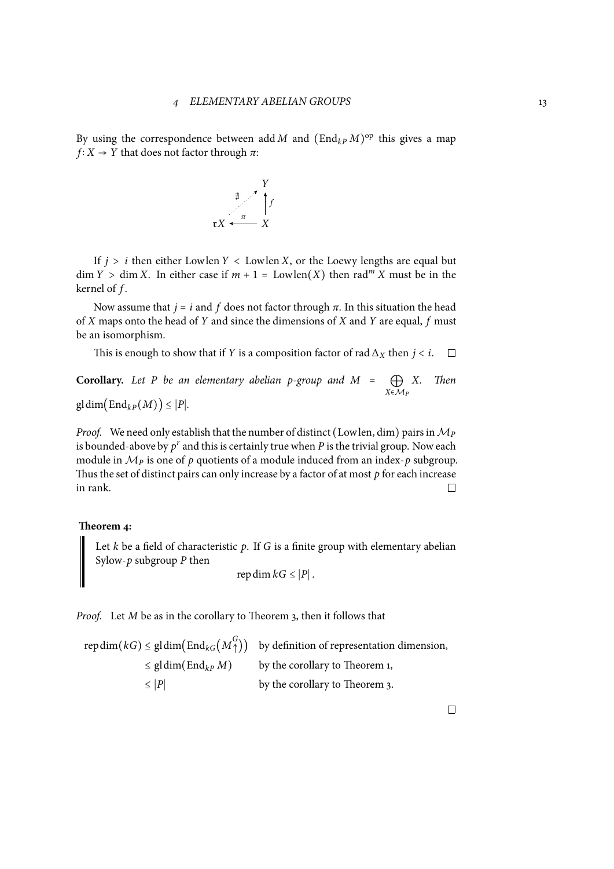By using the correspondence between add *M* and  $(End_{kP}M)^{op}$  this gives a map  $f: X \rightarrow Y$  that does not factor through  $\pi$ :



If  $j > i$  then either Lowlen  $Y <$  Lowlen  $X$ , or the Loewy lengths are equal but  $\dim Y > \dim X$ . In either case if  $m + 1 = \text{Lowlen}(X)$  then rad<sup>m</sup> *X* must be in the kernel of *f* .

Now assume that  $j = i$  and  $f$  does not factor through  $\pi$ . In this situation the head of *X* maps onto the head of *Y* and since the dimensions of *X* and *Y* are equal, *f* must be an isomorphism.

This is enough to show that if *Y* is a composition factor of rad  $\Delta$ *X* then *j* < *i*. □

**Corollary.** Let *P be an elementary abelian p-group and*  $M = \bigoplus_{X \in \mathcal{M}_P}$ *X. Then*

 $gldim(End_{kP}(M)) \leq |P|$ *.* 

*Proof.* We need only establish that the number of distinct (Lowlen, dim) pairs in  $M_P$ is bounded-above by  $p^r$  and this is certainly true when  $P$  is the trivial group. Now each module in  $M_p$  is one of  $p$  quotients of a module induced from an index- $p$  subgroup. Thus the set of distinct pairs can only increase by a factor of at most *p* for each increase in rank.  $\Box$ 

#### **Theorem 4:**

Let *k* be a field of characteristic *p*. If *G* is a finite group with elementary abelian Sylow- $p$  subgroup  $P$  then

$$
\operatorname{rep\,dim} kG \leq |P|.
$$

*Proof.* Let *M* be as in the corollary to Theorem 3, then it follows that

repdim( $kG$ )  $\leq$  gldim( $\text{End}_{kG}(M_{\uparrow}^G)$ ) by definition of representation dimension,  $\leq$  gldim(End<sub>kP</sub> *M*) by the [co](#page-11-0)rollary to Theorem 1,  $\leq$  |*P*| by the corollary to Theorem 3.

 $\Box$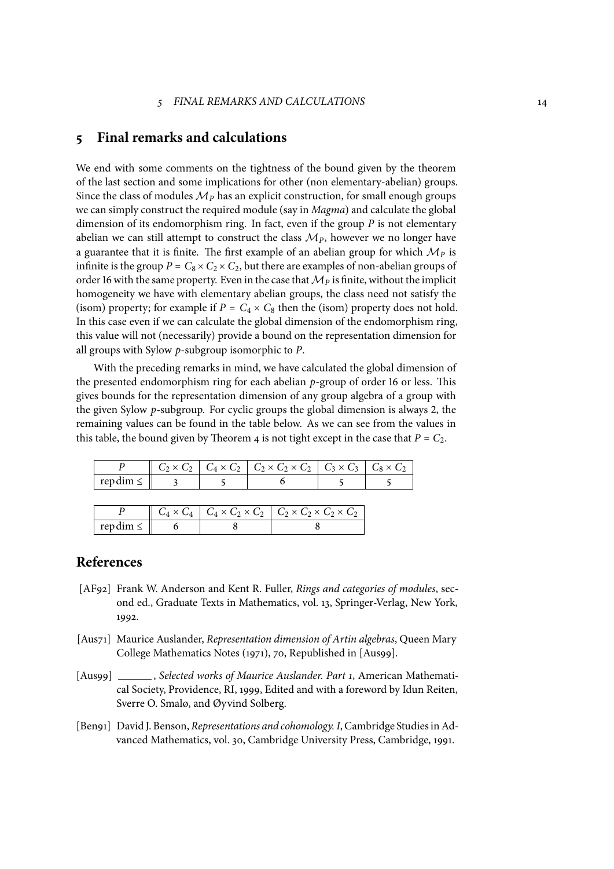### **5 Final remarks and calculations**

We end with some comments on the tightness of the bound given by the theorem of the last section and some implications for other (non elementary-abelian) groups. Since the class of modules  $\mathcal{M}_P$  has an explicit construction, for small enough groups we can simply construct the required module (say in *Magma*) and calculate the global dimension of its endomorphism ring. In fact, even if the group *P* is not elementary abelian we can still attempt to construct the class  $M<sub>P</sub>$ , however we no longer have a guarantee that it is finite. The first example of an abelian group for which  $M<sub>P</sub>$  is infinite is the group  $P = C_8 \times C_2 \times C_2$ , but there are examples of non-abelian groups of order 16 with the same property. Even in the case that  $M<sub>P</sub>$  is finite, without the implicit homogeneity we have with elementary abelian groups, the class need not satisfy the (isom) property; for example if  $P = C_4 \times C_8$  then the (isom) property does not hold. In this case even if we can calculate the global dimension of the endomorphism ring, this value will not (necessarily) provide a bound on the representation dimension for all groups with Sylow *p*-subgroup isomorphic to *P*.

With the preceding remarks in mind, we have calculated the global dimension of the presented endomorphism ring for each abelian *p*-group of order 16 or less. This gives bounds for the representation dimension of any group algebra of a group with the given Sylow *p*-subgroup. For cyclic groups the global dimension is always 2, the remaining values can be found in the table below. As we can see from the values in this table, the bound given by Theorem 4 is not tight except in the case that  $P = C_2$ .

|               | $P \parallel C_2 \times C_2 \parallel C_4 \times C_2 \parallel C_2 \times C_2 \times C_2 \parallel C_3 \times C_3 \parallel C_8 \times C_2$ |  |  |  |
|---------------|---------------------------------------------------------------------------------------------------------------------------------------------|--|--|--|
| repdim $\leq$ |                                                                                                                                             |  |  |  |
|               |                                                                                                                                             |  |  |  |
|               | $P \qquad \begin{array}{c c c c c c c} C_4 \times C_4 & C_4 \times C_2 \times C_2 & C_2 \times C_2 \times C_2 \times C_2 \end{array}$       |  |  |  |
| repdim $\leq$ |                                                                                                                                             |  |  |  |

## **References**

- [AF92] Frank W. Anderson and Kent R. Fuller, *Rings and categories of modules*, second ed., Graduate Texts in Mathematics, vol. 13, Springer-Verlag, New York, 1992.
- [Aus71] Maurice Auslander, *Representation dimension of Artin algebras*, Queen Mary College Mathematics Notes (1971), 70, Republished in [Aus99].
- [Aus99] , *Selected works of Maurice Auslander. Part 1*, American Mathematical Society, Providence, RI, 1999, Edited and with a foreword by Idun Reiten, Sverre O. Smalø, and Øyvind Solberg.
- [Ben91] David J. Benson, *Representations and cohomology. I*, Cambridge StudiesinAdvanced Mathematics, vol. 30, Cambridge University Press, Cambridge, 1991.